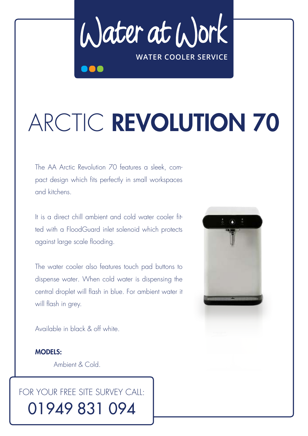Water at Work **WATER COOLER SERVICE**

# ARCTIC REVOLUTION 70

The AA Arctic Revolution 70 features a sleek, compact design which fits perfectly in small workspaces and kitchens.

It is a direct chill ambient and cold water cooler fitted with a FloodGuard inlet solenoid which protects against large scale flooding.

The water cooler also features touch pad buttons to dispense water. When cold water is dispensing the central droplet will flash in blue. For ambient water it will flash in grey.

Available in black & off white.

MODELS: Ambient & Cold.

# FOR YOUR FREE SITE SURVEY CALL: 01949 831 094